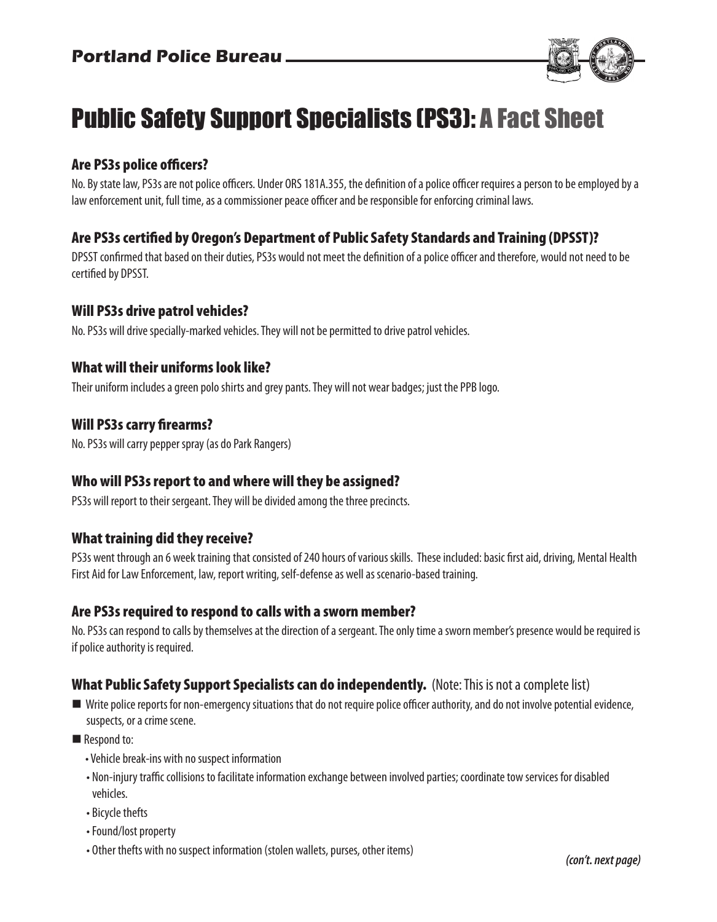

# Public Safety Support Specialists (PS3): A Fact Sheet

# Are PS3s police officers?

No. By state law, PS3s are not police officers. Under ORS 181A.355, the definition of a police officer requires a person to be employed by a law enforcement unit, full time, as a commissioner peace officer and be responsible for enforcing criminal laws.

# Are PS3s certified by Oregon's Department of Public Safety Standards and Training (DPSST)?

DPSST confirmed that based on their duties, PS3s would not meet the definition of a police officer and therefore, would not need to be certified by DPSST.

#### Will PS3s drive patrol vehicles?

No. PS3s will drive specially-marked vehicles. They will not be permitted to drive patrol vehicles.

#### What will their uniforms look like?

Their uniform includes a green polo shirts and grey pants. They will not wear badges; just the PPB logo.

#### Will PS3s carry firearms?

No. PS3s will carry pepper spray (as do Park Rangers)

#### Who will PS3s report to and where will they be assigned?

PS3s will report to their sergeant. They will be divided among the three precincts.

#### What training did they receive?

PS3s went through an 6 week training that consisted of 240 hours of various skills. These included: basic first aid, driving, Mental Health First Aid for Law Enforcement, law, report writing, self-defense as well as scenario-based training.

#### Are PS3s required to respond to calls with a sworn member?

No. PS3s can respond to calls by themselves at the direction of a sergeant. The only time a sworn member's presence would be required is if police authority is required.

#### What Public Safety Support Specialists can do independently. (Note: This is not a complete list)

- Write police reports for non-emergency situations that do not require police officer authority, and do not involve potential evidence, suspects, or a crime scene.
- Respond to:
	- Vehicle break-ins with no suspect information
	- Non-injury traffic collisions to facilitate information exchange between involved parties; coordinate tow services for disabled vehicles.
	- Bicycle thefts
	- Found/lost property
	- Other thefts with no suspect information (stolen wallets, purses, other items)